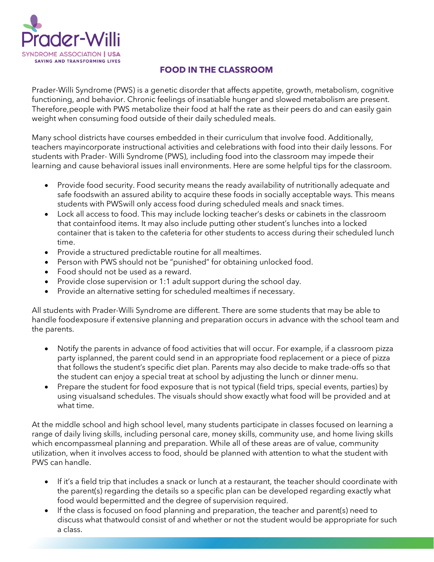

## **FOOD IN THE CLASSROOM**

Prader-Willi Syndrome (PWS) is a genetic disorder that affects appetite, growth, metabolism, cognitive functioning, and behavior. Chronic feelings of insatiable hunger and slowed metabolism are present. Therefore,people with PWS metabolize their food at half the rate as their peers do and can easily gain weight when consuming food outside of their daily scheduled meals.

Many school districts have courses embedded in their curriculum that involve food. Additionally, teachers mayincorporate instructional activities and celebrations with food into their daily lessons. For students with Prader- Willi Syndrome (PWS), including food into the classroom may impede their learning and cause behavioral issues inall environments. Here are some helpful tips for the classroom.

- Provide food security. Food security means the ready availability of nutritionally adequate and safe foodswith an assured ability to acquire these foods in socially acceptable ways. This means students with PWSwill only access food during scheduled meals and snack times.
- Lock all access to food. This may include locking teacher's desks or cabinets in the classroom that containfood items. It may also include putting other student's lunches into a locked container that is taken to the cafeteria for other students to access during their scheduled lunch time.
- Provide a structured predictable routine for all mealtimes.
- Person with PWS should not be "punished" for obtaining unlocked food.
- Food should not be used as a reward.
- Provide close supervision or 1:1 adult support during the school day.
- Provide an alternative setting for scheduled mealtimes if necessary.

All students with Prader-Willi Syndrome are different. There are some students that may be able to handle foodexposure if extensive planning and preparation occurs in advance with the school team and the parents.

- Notify the parents in advance of food activities that will occur. For example, if a classroom pizza party isplanned, the parent could send in an appropriate food replacement or a piece of pizza that follows the student's specific diet plan. Parents may also decide to make trade-offs so that the student can enjoy a special treat at school by adjusting the lunch or dinner menu.
- Prepare the student for food exposure that is not typical (field trips, special events, parties) by using visualsand schedules. The visuals should show exactly what food will be provided and at what time.

At the middle school and high school level, many students participate in classes focused on learning a range of daily living skills, including personal care, money skills, community use, and home living skills which encompassmeal planning and preparation. While all of these areas are of value, community utilization, when it involves access to food, should be planned with attention to what the student with PWS can handle.

- If it's a field trip that includes a snack or lunch at a restaurant, the teacher should coordinate with the parent(s) regarding the details so a specific plan can be developed regarding exactly what food would bepermitted and the degree of supervision required.
- If the class is focused on food planning and preparation, the teacher and parent(s) need to discuss what thatwould consist of and whether or not the student would be appropriate for such a class.